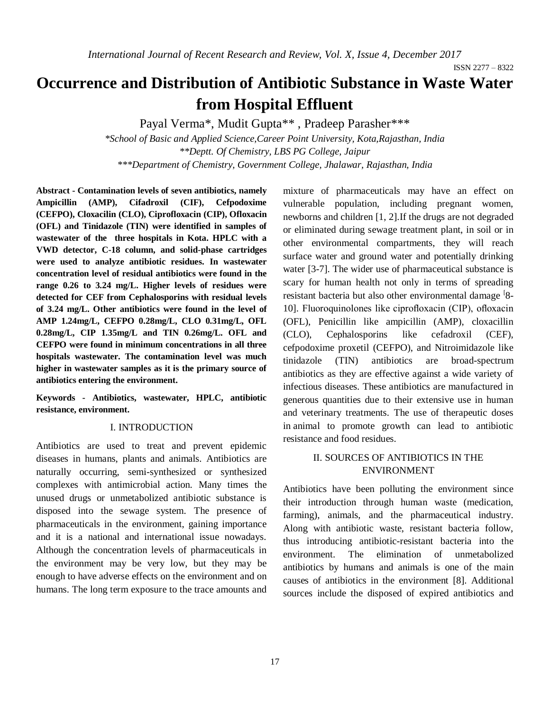# **Occurrence and Distribution of Antibiotic Substance in Waste Water from Hospital Effluent**

Payal Verma\*, Mudit Gupta\*\* , Pradeep Parasher\*\*\*

*\*School of Basic and Applied Science,Career Point University, Kota,Rajasthan, India \*\*Deptt. Of Chemistry, LBS PG College, Jaipur \*\*\*Department of Chemistry, Government College, Jhalawar, Rajasthan, India*

**Abstract - Contamination levels of seven antibiotics, namely Ampicillin (AMP), Cifadroxil (CIF), Cefpodoxime (CEFPO), Cloxacilin (CLO), Ciprofloxacin (CIP), Ofloxacin (OFL) and Tinidazole (TIN) were identified in samples of wastewater of the three hospitals in Kota. HPLC with a VWD detector, C-18 column, and solid-phase cartridges were used to analyze antibiotic residues. In wastewater concentration level of residual antibiotics were found in the range 0.26 to 3.24 mg/L. Higher levels of residues were detected for CEF from Cephalosporins with residual levels of 3.24 mg/L. Other antibiotics were found in the level of AMP 1.24mg/L, CEFPO 0.28mg/L, CLO 0.31mg/L, OFL 0.28mg/L, CIP 1.35mg/L and TIN 0.26mg/L. OFL and CEFPO were found in minimum concentrations in all three hospitals wastewater. The contamination level was much higher in wastewater samples as it is the primary source of antibiotics entering the environment.** 

**Keywords - Antibiotics, wastewater, HPLC, antibiotic resistance, environment.**

#### I. INTRODUCTION

Antibiotics are used to treat and prevent epidemic diseases in humans, plants and animals. Antibiotics are naturally occurring, semi-synthesized or synthesized complexes with antimicrobial action. Many times the unused drugs or unmetabolized antibiotic substance is disposed into the sewage system. The presence of pharmaceuticals in the environment, gaining importance and it is a national and international issue nowadays. Although the concentration levels of pharmaceuticals in the environment may be very low, but they may be enough to have adverse effects on the environment and on humans. The long term exposure to the trace amounts and mixture of pharmaceuticals may have an effect on vulnerable population, including pregnant women, newborns and children [1, 2].If the drugs are not degraded or eliminated during sewage treatment plant, in soil or in other environmental compartments, they will reach surface water and ground water and potentially drinking water [3-7]. The wider use of pharmaceutical substance is scary for human health not only in terms of spreading resistant bacteria but also other environmental damage <sup>[8]</sup>-10]. Fluoroquinolones like ciprofloxacin (CIP), ofloxacin (OFL), Penicillin like ampicillin (AMP), cloxacillin (CLO), Cephalosporins like cefadroxil (CEF), cefpodoxime proxetil (CEFPO), and Nitroimidazole like tinidazole (TIN) antibiotics are broad-spectrum antibiotics as they are effective against a wide variety of infectious diseases. These antibiotics are manufactured in generous quantities due to their extensive use in human and veterinary treatments. The use of therapeutic doses in animal to promote growth can lead to antibiotic resistance and food residues.

### II. SOURCES OF ANTIBIOTICS IN THE ENVIRONMENT

Antibiotics have been polluting the environment since their introduction through human waste (medication, farming), animals, and the pharmaceutical industry. Along with antibiotic waste, resistant bacteria follow, thus introducing antibiotic-resistant bacteria into the environment. The elimination of unmetabolized antibiotics by humans and animals is one of the main causes of antibiotics in the environment [8]. Additional sources include the disposed of expired antibiotics and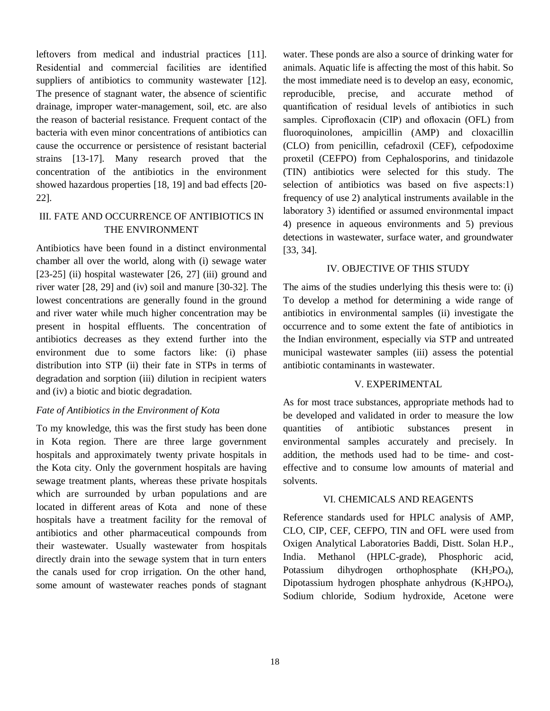leftovers from medical and industrial practices [11]. Residential and commercial facilities are identified suppliers of antibiotics to community wastewater [12]. The presence of stagnant water, the absence of scientific drainage, improper water-management, soil, etc. are also the reason of bacterial resistance. Frequent contact of the bacteria with even minor concentrations of antibiotics can cause the occurrence or persistence of resistant bacterial strains [13-17]. Many research proved that the concentration of the antibiotics in the environment showed hazardous properties [18, 19] and bad effects [20- 22].

## III. FATE AND OCCURRENCE OF ANTIBIOTICS IN THE ENVIRONMENT

Antibiotics have been found in a distinct environmental chamber all over the world, along with (i) sewage water  $[23-25]$  (ii) hospital wastewater  $[26, 27]$  (iii) ground and river water [28, 29] and (iv) soil and manure [30-32]. The lowest concentrations are generally found in the ground and river water while much higher concentration may be present in hospital effluents. The concentration of antibiotics decreases as they extend further into the environment due to some factors like: (i) phase distribution into STP (ii) their fate in STPs in terms of degradation and sorption (iii) dilution in recipient waters and (iv) a biotic and biotic degradation.

#### *Fate of Antibiotics in the Environment of Kota*

To my knowledge, this was the first study has been done in Kota region. There are three large government hospitals and approximately twenty private hospitals in the Kota city. Only the government hospitals are having sewage treatment plants, whereas these private hospitals which are surrounded by urban populations and are located in different areas of Kota and none of these hospitals have a treatment facility for the removal of antibiotics and other pharmaceutical compounds from their wastewater. Usually wastewater from hospitals directly drain into the sewage system that in turn enters the canals used for crop irrigation. On the other hand, some amount of wastewater reaches ponds of stagnant

water. These ponds are also a source of drinking water for animals. Aquatic life is affecting the most of this habit. So the most immediate need is to develop an easy, economic, reproducible, precise, and accurate method of quantification of residual levels of antibiotics in such samples. Ciprofloxacin (CIP) and ofloxacin (OFL) from fluoroquinolones, ampicillin (AMP) and cloxacillin (CLO) from penicillin, cefadroxil (CEF), cefpodoxime proxetil (CEFPO) from Cephalosporins, and tinidazole (TIN) antibiotics were selected for this study. The selection of antibiotics was based on five aspects:1) frequency of use 2) analytical instruments available in the laboratory 3) identified or assumed environmental impact 4) presence in aqueous environments and 5) previous detections in wastewater, surface water, and groundwater [33, 34].

#### IV. OBJECTIVE OF THIS STUDY

The aims of the studies underlying this thesis were to: (i) To develop a method for determining a wide range of antibiotics in environmental samples (ii) investigate the occurrence and to some extent the fate of antibiotics in the Indian environment, especially via STP and untreated municipal wastewater samples (iii) assess the potential antibiotic contaminants in wastewater.

#### V. EXPERIMENTAL

As for most trace substances, appropriate methods had to be developed and validated in order to measure the low quantities of antibiotic substances present in environmental samples accurately and precisely. In addition, the methods used had to be time- and costeffective and to consume low amounts of material and solvents.

#### VI. CHEMICALS AND REAGENTS

Reference standards used for HPLC analysis of AMP, CLO, CIP, CEF, CEFPO, TIN and OFL were used from Oxigen Analytical Laboratories Baddi, Distt. Solan H.P., India. Methanol (HPLC-grade), Phosphoric acid, Potassium dihydrogen orthophosphate (KH<sub>2</sub>PO<sub>4</sub>), Dipotassium hydrogen phosphate anhydrous  $(K_2HPO_4)$ , Sodium chloride, Sodium hydroxide, Acetone were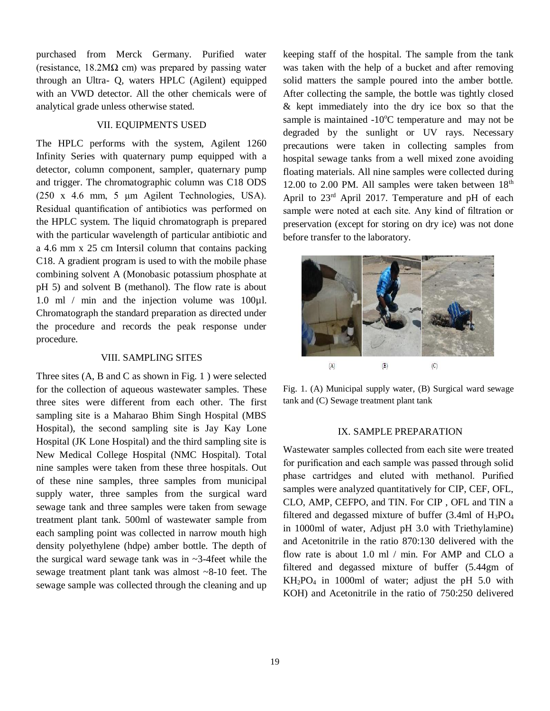purchased from Merck Germany. Purified water (resistance,  $18.2M\Omega$  cm) was prepared by passing water through an Ultra- Q, waters HPLC (Agilent) equipped with an VWD detector. All the other chemicals were of analytical grade unless otherwise stated.

#### VII. EQUIPMENTS USED

The HPLC performs with the system, Agilent 1260 Infinity Series with quaternary pump equipped with a detector, column component, sampler, quaternary pump and trigger. The chromatographic column was C18 ODS (250 x 4.6 mm, 5 μm Agilent Technologies, USA). Residual quantification of antibiotics was performed on the HPLC system. The liquid chromatograph is prepared with the particular wavelength of particular antibiotic and a 4.6 mm x 25 cm Intersil column that contains packing C18. A gradient program is used to with the mobile phase combining solvent A (Monobasic potassium phosphate at pH 5) and solvent B (methanol). The flow rate is about 1.0 ml / min and the injection volume was 100µl. Chromatograph the standard preparation as directed under the procedure and records the peak response under procedure.

#### VIII. SAMPLING SITES

Three sites (A, B and C as shown in Fig. 1 ) were selected for the collection of aqueous wastewater samples. These three sites were different from each other. The first sampling site is a Maharao Bhim Singh Hospital (MBS Hospital), the second sampling site is Jay Kay Lone Hospital (JK Lone Hospital) and the third sampling site is New Medical College Hospital (NMC Hospital). Total nine samples were taken from these three hospitals. Out of these nine samples, three samples from municipal supply water, three samples from the surgical ward sewage tank and three samples were taken from sewage treatment plant tank. 500ml of wastewater sample from each sampling point was collected in narrow mouth high density polyethylene (hdpe) amber bottle. The depth of the surgical ward sewage tank was in ~3-4feet while the sewage treatment plant tank was almost ~8-10 feet. The sewage sample was collected through the cleaning and up keeping staff of the hospital. The sample from the tank was taken with the help of a bucket and after removing solid matters the sample poured into the amber bottle. After collecting the sample, the bottle was tightly closed & kept immediately into the dry ice box so that the sample is maintained  $-10^{\circ}$ C temperature and may not be degraded by the sunlight or UV rays. Necessary precautions were taken in collecting samples from hospital sewage tanks from a well mixed zone avoiding floating materials. All nine samples were collected during 12.00 to 2.00 PM. All samples were taken between  $18<sup>th</sup>$ April to 23rd April 2017. Temperature and pH of each sample were noted at each site. Any kind of filtration or preservation (except for storing on dry ice) was not done before transfer to the laboratory.



Fig. 1. (A) Municipal supply water, (B) Surgical ward sewage tank and (C) Sewage treatment plant tank

#### IX. SAMPLE PREPARATION

Wastewater samples collected from each site were treated for purification and each sample was passed through solid phase cartridges and eluted with methanol. Purified samples were analyzed quantitatively for CIP, CEF, OFL, CLO, AMP, CEFPO, and TIN. For CIP , OFL and TIN a filtered and degassed mixture of buffer (3.4ml of H3PO<sup>4</sup> in 1000ml of water, Adjust pH 3.0 with Triethylamine) and Acetonitrile in the ratio 870:130 delivered with the flow rate is about 1.0 ml / min. For AMP and CLO a filtered and degassed mixture of buffer (5.44gm of KH2PO<sup>4</sup> in 1000ml of water; adjust the pH 5.0 with KOH) and Acetonitrile in the ratio of 750:250 delivered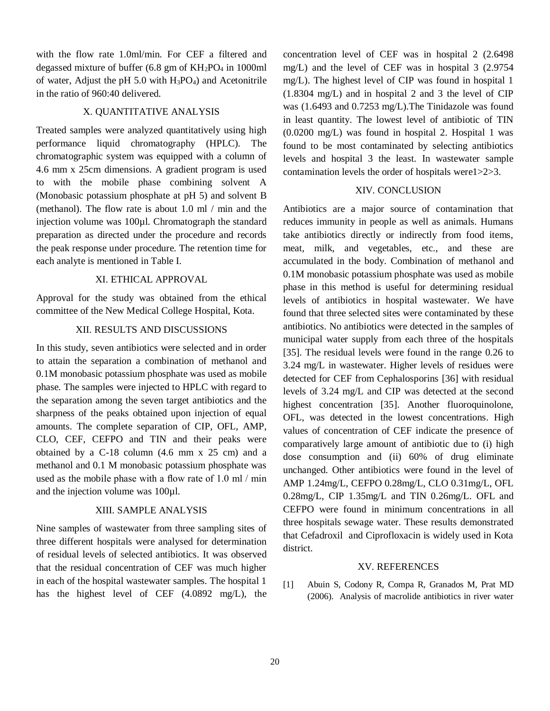with the flow rate 1.0ml/min. For CEF a filtered and degassed mixture of buffer (6.8 gm of  $KH_2PO_4$  in 1000ml of water, Adjust the pH  $5.0$  with  $H_3PO_4$ ) and Acetonitrile in the ratio of 960:40 delivered.

#### X. QUANTITATIVE ANALYSIS

Treated samples were analyzed quantitatively using high performance liquid chromatography (HPLC). The chromatographic system was equipped with a column of 4.6 mm x 25cm dimensions. A gradient program is used to with the mobile phase combining solvent A (Monobasic potassium phosphate at pH 5) and solvent B (methanol). The flow rate is about 1.0 ml / min and the injection volume was 100µl. Chromatograph the standard preparation as directed under the procedure and records the peak response under procedure. The retention time for each analyte is mentioned in Table I.

#### XI. ETHICAL APPROVAL

Approval for the study was obtained from the ethical committee of the New Medical College Hospital, Kota.

#### XII. RESULTS AND DISCUSSIONS

In this study, seven antibiotics were selected and in order to attain the separation a combination of methanol and 0.1M monobasic potassium phosphate was used as mobile phase. The samples were injected to HPLC with regard to the separation among the seven target antibiotics and the sharpness of the peaks obtained upon injection of equal amounts. The complete separation of CIP, OFL, AMP, CLO, CEF, CEFPO and TIN and their peaks were obtained by a C-18 column (4.6 mm x 25 cm) and a methanol and 0.1 M monobasic potassium phosphate was used as the mobile phase with a flow rate of 1.0 ml / min and the injection volume was 100µl.

#### XIII. SAMPLE ANALYSIS

Nine samples of wastewater from three sampling sites of three different hospitals were analysed for determination of residual levels of selected antibiotics. It was observed that the residual concentration of CEF was much higher in each of the hospital wastewater samples. The hospital 1 has the highest level of CEF (4.0892 mg/L), the

concentration level of CEF was in hospital 2 (2.6498 mg/L) and the level of CEF was in hospital 3 (2.9754 mg/L). The highest level of CIP was found in hospital 1 (1.8304 mg/L) and in hospital 2 and 3 the level of CIP was (1.6493 and 0.7253 mg/L).The Tinidazole was found in least quantity. The lowest level of antibiotic of TIN (0.0200 mg/L) was found in hospital 2. Hospital 1 was found to be most contaminated by selecting antibiotics levels and hospital 3 the least. In wastewater sample contamination levels the order of hospitals were1>2>3.

#### XIV. CONCLUSION

Antibiotics are a major source of contamination that reduces immunity in people as well as animals. Humans take antibiotics directly or indirectly from food items, meat, milk, and vegetables, etc., and these are accumulated in the body. Combination of methanol and 0.1M monobasic potassium phosphate was used as mobile phase in this method is useful for determining residual levels of antibiotics in hospital wastewater. We have found that three selected sites were contaminated by these antibiotics. No antibiotics were detected in the samples of municipal water supply from each three of the hospitals [35]. The residual levels were found in the range 0.26 to 3.24 mg/L in wastewater. Higher levels of residues were detected for CEF from Cephalosporins [36] with residual levels of 3.24 mg/L and CIP was detected at the second highest concentration [35]. Another fluoroquinolone, OFL, was detected in the lowest concentrations. High values of concentration of CEF indicate the presence of comparatively large amount of antibiotic due to (i) high dose consumption and (ii) 60% of drug eliminate unchanged. Other antibiotics were found in the level of AMP 1.24mg/L, CEFPO 0.28mg/L, CLO 0.31mg/L, OFL 0.28mg/L, CIP 1.35mg/L and TIN 0.26mg/L. OFL and CEFPO were found in minimum concentrations in all three hospitals sewage water. These results demonstrated that Cefadroxil and Ciprofloxacin is widely used in Kota district.

#### XV. REFERENCES

[1] Abuin S, Codony R, Compa R, Granados M, Prat MD (2006). Analysis of macrolide antibiotics in river water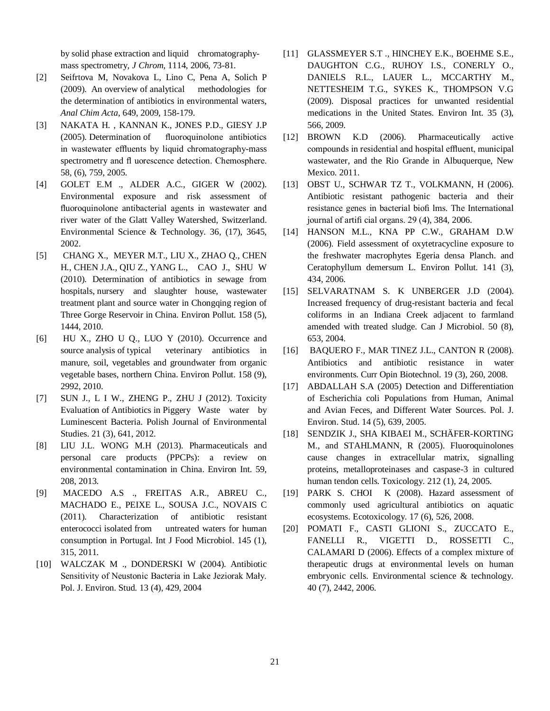by solid phase extraction and liquid chromatographymass spectrometry, *J Chrom*, 1114, 2006, 73-81.

- [2] Seifrtova M, Novakova L, Lino C, Pena A, Solich P (2009). An overview of analytical methodologies for the determination of antibiotics in environmental waters, *Anal Chim Acta*, 649, 2009, 158-179.
- [3] NAKATA H. , KANNAN K., JONES P.D., GIESY J.P (2005). Determination of fluoroquinolone antibiotics in wastewater effluents by liquid chromatography-mass spectrometry and fl uorescence detection. Chemosphere. 58, (6), 759, 2005.
- [4] GOLET E.M ., ALDER A.C., GIGER W (2002). Environmental exposure and risk assessment of fluoroquinolone antibacterial agents in wastewater and river water of the Glatt Valley Watershed, Switzerland. Environmental Science & Technology. 36, (17), 3645, 2002.
- [5] CHANG X., MEYER M.T., LIU X., ZHAO Q., CHEN H., CHEN J.A., QIU Z., YANG L., CAO J., SHU W (2010). Determination of antibiotics in sewage from hospitals, nursery and slaughter house, wastewater treatment plant and source water in Chongqing region of Three Gorge Reservoir in China. Environ Pollut. 158 (5), 1444, 2010.
- [6] HU X., ZHO U Q., LUO Y (2010). Occurrence and source analysis of typical veterinary antibiotics in manure, soil, vegetables and groundwater from organic vegetable bases, northern China. Environ Pollut. 158 (9), 2992, 2010.
- [7] SUN J., L I W., ZHENG P., ZHU J (2012). Toxicity Evaluation of Antibiotics in Piggery Waste water by Luminescent Bacteria. Polish Journal of Environmental Studies. 21 (3), 641, 2012.
- [8] LIU J.L. WONG M.H (2013). Pharmaceuticals and personal care products (PPCPs): a review on environmental contamination in China. Environ Int. 59, 208, 2013.
- [9] MACEDO A.S ., FREITAS A.R., ABREU C., MACHADO E., PEIXE L., SOUSA J.C., NOVAIS C (2011). Characterization of antibiotic resistant enterococci isolated from untreated waters for human consumption in Portugal. Int J Food Microbiol. 145 (1), 315, 2011.
- [10] WALCZAK M ., DONDERSKI W (2004). Antibiotic Sensitivity of Neustonic Bacteria in Lake Jeziorak Mały. Pol. J. Environ. Stud. 13 (4), 429, 2004
- [11] GLASSMEYER S.T ., HINCHEY E.K., BOEHME S.E., DAUGHTON C.G., RUHOY I.S., CONERLY O., DANIELS R.L., LAUER L., MCCARTHY M., NETTESHEIM T.G., SYKES K., THOMPSON V.G (2009). Disposal practices for unwanted residential medications in the United States. Environ Int. 35 (3), 566, 2009.
- [12] BROWN K.D (2006). Pharmaceutically active compounds in residential and hospital effluent, municipal wastewater, and the Rio Grande in Albuquerque, New Mexico. 2011.
- [13] OBST U., SCHWAR TZ T., VOLKMANN, H (2006). Antibiotic resistant pathogenic bacteria and their resistance genes in bacterial biofi lms. The International journal of artifi cial organs. 29 (4), 384, 2006.
- [14] HANSON M.L., KNA PP C.W., GRAHAM D.W (2006). Field assessment of oxytetracycline exposure to the freshwater macrophytes Egeria densa Planch. and Ceratophyllum demersum L. Environ Pollut. 141 (3), 434, 2006.
- [15] SELVARATNAM S. K UNBERGER J.D (2004). Increased frequency of drug-resistant bacteria and fecal coliforms in an Indiana Creek adjacent to farmland amended with treated sludge. Can J Microbiol. 50 (8), 653, 2004.
- [16] BAQUERO F., MAR TINEZ J.L., CANTON R (2008). Antibiotics and antibiotic resistance in water environments. Curr Opin Biotechnol. 19 (3), 260, 2008.
- [17] ABDALLAH S.A (2005) Detection and Differentiation of Escherichia coli Populations from Human, Animal and Avian Feces, and Different Water Sources. Pol. J. Environ. Stud. 14 (5), 639, 2005.
- [18] SENDZIK J., SHA KIBAEI M., SCHÄFER-KORTING M., and STAHLMANN, R (2005). Fluoroquinolones cause changes in extracellular matrix, signalling proteins, metalloproteinases and caspase-3 in cultured human tendon cells. Toxicology. 212 (1), 24, 2005.
- [19] PARK S. CHOI K (2008). Hazard assessment of commonly used agricultural antibiotics on aquatic ecosystems. Ecotoxicology. 17 (6), 526, 2008.
- [20] POMATI F., CASTI GLIONI S., ZUCCATO E., FANELLI R., VIGETTI D., ROSSETTI C., CALAMARI D (2006). Effects of a complex mixture of therapeutic drugs at environmental levels on human embryonic cells. Environmental science & technology. 40 (7), 2442, 2006.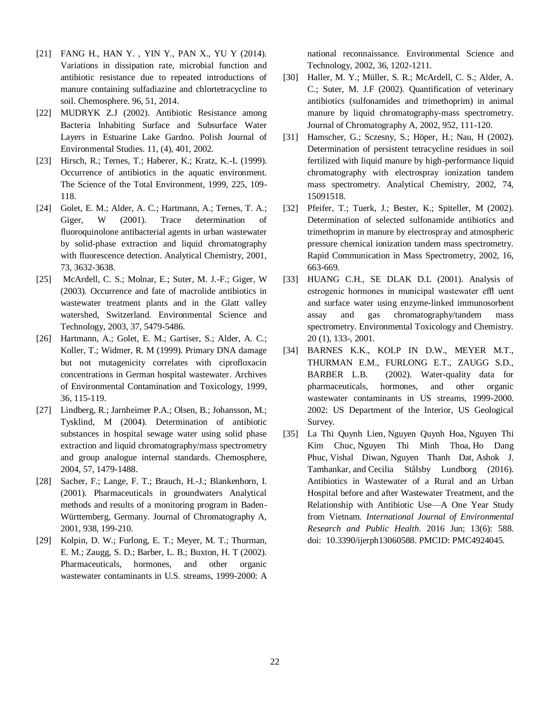- [21] FANG H., HAN Y. , YIN Y., PAN X., YU Y (2014). Variations in dissipation rate, microbial function and antibiotic resistance due to repeated introductions of manure containing sulfadiazine and chlortetracycline to soil. Chemosphere. 96, 51, 2014.
- [22] MUDRYK Z.J (2002). Antibiotic Resistance among Bacteria Inhabiting Surface and Subsurface Water Layers in Estuarine Lake Gardno. Polish Journal of Environmental Studies. 11, (4), 401, 2002.
- [23] Hirsch, R.; Ternes, T.; Haberer, K.; Kratz, K.-L (1999). Occurrence of antibiotics in the aquatic environment. The Science of the Total Environment, 1999, 225, 109- 118.
- [24] Golet, E. M.; Alder, A. C.; Hartmann, A.; Ternes, T. A.; Giger, W (2001). Trace determination of fluoroquinolone antibacterial agents in urban wastewater by solid-phase extraction and liquid chromatography with fluorescence detection. Analytical Chemistry, 2001, 73, 3632-3638.
- [25] McArdell, C. S.; Molnar, E.; Suter, M. J.-F.; Giger, W (2003). Occurrence and fate of macrolide antibiotics in wastewater treatment plants and in the Glatt valley watershed, Switzerland. Environmental Science and Technology, 2003, 37, 5479-5486.
- [26] Hartmann, A.; Golet, E. M.; Gartiser, S.; Alder, A. C.; Koller, T.; Widmer, R. M (1999). Primary DNA damage but not mutagenicity correlates with ciprofloxacin concentrations in German hospital wastewater. Archives of Environmental Contamination and Toxicology, 1999, 36, 115-119.
- [27] Lindberg, R.; Jarnheimer P.A.; Olsen, B.; Johansson, M.; Tysklind, M (2004). Determination of antibiotic substances in hospital sewage water using solid phase extraction and liquid chromatography/mass spectrometry and group analogue internal standards. Chemosphere, 2004, 57, 1479-1488.
- [28] Sacher, F.; Lange, F. T.; Brauch, H.-J.; Blankenhorn, I. (2001). Pharmaceuticals in groundwaters Analytical methods and results of a monitoring program in Baden-Württemberg, Germany. Journal of Chromatography A, 2001, 938, 199-210.
- [29] Kolpin, D. W.; Furlong, E. T.; Meyer, M. T.; Thurman, E. M.; Zaugg, S. D.; Barber, L. B.; Buxton, H. T (2002). Pharmaceuticals, hormones, and other organic wastewater contaminants in U.S. streams, 1999-2000: A

national reconnaissance. Environmental Science and Technology, 2002, 36, 1202-1211.

- [30] Haller, M. Y.; Müller, S. R.; McArdell, C. S.; Alder, A. C.; Suter, M. J.F (2002). Quantification of veterinary antibiotics (sulfonamides and trimethoprim) in animal manure by liquid chromatography-mass spectrometry. Journal of Chromatography A, 2002, 952, 111-120.
- [31] Hamscher, G.; Sczesny, S.; Höper, H.; Nau, H (2002). Determination of persistent tetracycline residues in soil fertilized with liquid manure by high-performance liquid chromatography with electrospray ionization tandem mass spectrometry. Analytical Chemistry, 2002, 74, 15091518.
- [32] Pfeifer, T.; Tuerk, J.; Bester, K.; Spiteller, M (2002). Determination of selected sulfonamide antibiotics and trimethoprim in manure by electrospray and atmospheric pressure chemical ionization tandem mass spectrometry. Rapid Communication in Mass Spectrometry, 2002, 16, 663-669.
- [33] HUANG C.H., SE DLAK D.L (2001). Analysis of estrogenic hormones in municipal wastewater effl uent and surface water using enzyme-linked immunosorbent assay and gas chromatography/tandem mass spectrometry. Environmental Toxicology and Chemistry. 20 (1), 133-, 2001.
- [34] BARNES K.K., KOLP IN D.W., MEYER M.T., THURMAN E.M., FURLONG E.T., ZAUGG S.D., BARBER L.B. (2002). Water-quality data for pharmaceuticals, hormones, and other organic wastewater contaminants in US streams, 1999-2000. 2002: US Department of the Interior, US Geological Survey.
- [35] La Thi Quynh Lien, Nguyen Quynh Hoa, Nguyen Thi Kim Chuc, Nguyen Thi Minh Thoa, Ho Dang Phuc, Vishal Diwan, Nguyen Thanh Dat, Ashok J. Tamhankar, and Cecilia Stålsby Lundborg (2016). Antibiotics in Wastewater of a Rural and an Urban Hospital before and after Wastewater Treatment, and the Relationship with Antibiotic Use—A One Year Study from Vietnam. *International Journal of Environmental Research and Public Health*. 2016 Jun; 13(6): 588. doi: 10.3390/ijerph13060588. PMCID: PMC4924045.